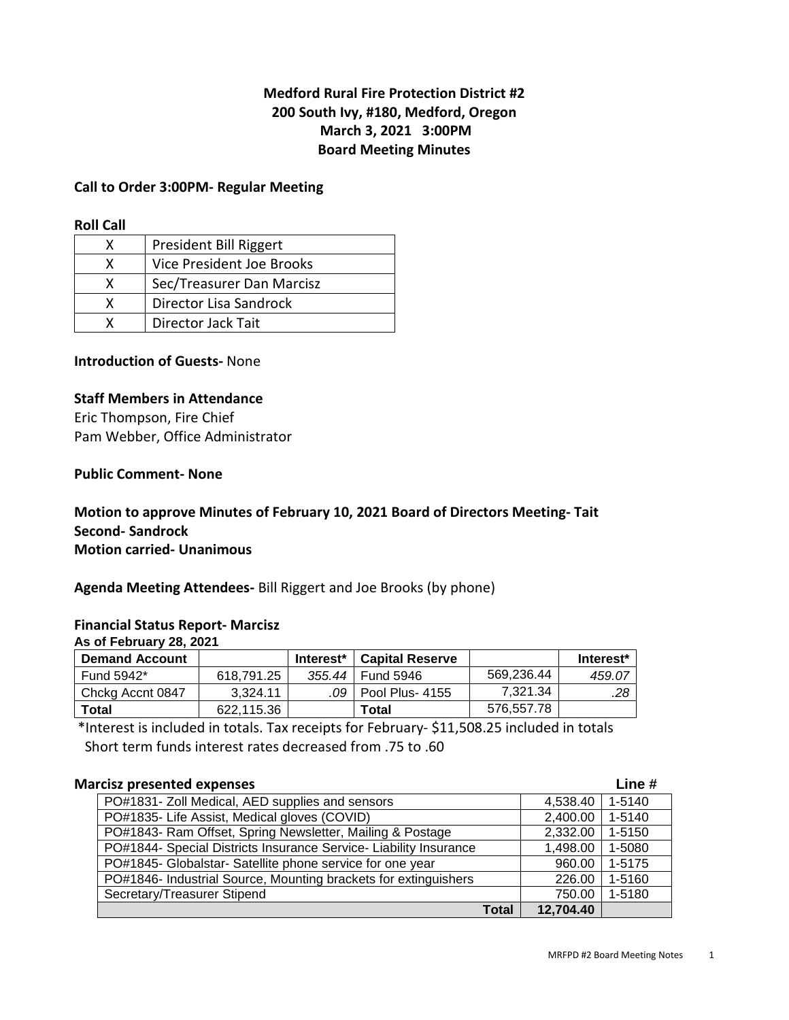## **Medford Rural Fire Protection District #2 200 South Ivy, #180, Medford, Oregon March 3, 2021 3:00PM Board Meeting Minutes**

#### **Call to Order 3:00PM- Regular Meeting**

#### **Roll Call**

|   | President Bill Riggert    |
|---|---------------------------|
| x | Vice President Joe Brooks |
| x | Sec/Treasurer Dan Marcisz |
| x | Director Lisa Sandrock    |
|   | <b>Director Jack Tait</b> |

### **Introduction of Guests-** None

#### **Staff Members in Attendance**

Eric Thompson, Fire Chief Pam Webber, Office Administrator

#### **Public Comment- None**

### **Motion to approve Minutes of February 10, 2021 Board of Directors Meeting- Tait Second- Sandrock Motion carried- Unanimous**

**Agenda Meeting Attendees-** Bill Riggert and Joe Brooks (by phone)

#### **Financial Status Report- Marcisz**

**As of February 28, 2021** 

| <b>Demand Account</b> |            | Interest* | ∣ Capital Reserve     |            | Interest* |
|-----------------------|------------|-----------|-----------------------|------------|-----------|
| Fund 5942*            | 618.791.25 |           | 355.44 Fund 5946      | 569.236.44 | 459.07    |
| Chckg Accnt 0847      | 3.324.11   |           | .09   Pool Plus- 4155 | 7.321.34   | .28       |
| Total                 | 622.115.36 |           | Total                 | 576,557.78 |           |

 \*Interest is included in totals. Tax receipts for February- \$11,508.25 included in totals Short term funds interest rates decreased from .75 to .60

| <b>Marcisz presented expenses</b>                                 |       |           | Line $#$ |
|-------------------------------------------------------------------|-------|-----------|----------|
| PO#1831- Zoll Medical, AED supplies and sensors                   |       | 4,538.40  | 1-5140   |
| PO#1835- Life Assist, Medical gloves (COVID)                      |       | 2,400.00  | 1-5140   |
| PO#1843- Ram Offset, Spring Newsletter, Mailing & Postage         |       | 2,332.00  | 1-5150   |
| PO#1844- Special Districts Insurance Service- Liability Insurance |       | 1,498.00  | 1-5080   |
| PO#1845- Globalstar- Satellite phone service for one year         |       | 960.00    | 1-5175   |
| PO#1846- Industrial Source, Mounting brackets for extinguishers   |       | 226.00    | 1-5160   |
| Secretary/Treasurer Stipend                                       |       | 750.00    | 1-5180   |
|                                                                   | Total | 12,704.40 |          |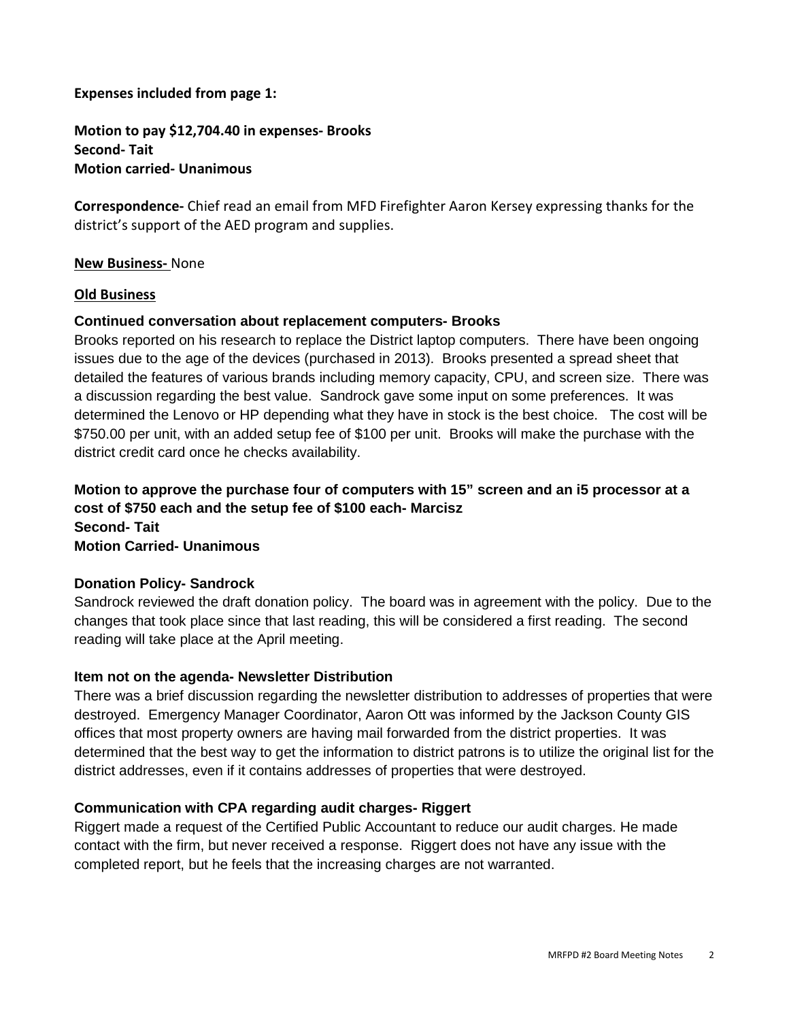#### **Expenses included from page 1:**

**Motion to pay \$12,704.40 in expenses- Brooks Second- Tait Motion carried- Unanimous** 

**Correspondence-** Chief read an email from MFD Firefighter Aaron Kersey expressing thanks for the district's support of the AED program and supplies.

#### **New Business-** None

#### **Old Business**

### **Continued conversation about replacement computers- Brooks**

Brooks reported on his research to replace the District laptop computers. There have been ongoing issues due to the age of the devices (purchased in 2013). Brooks presented a spread sheet that detailed the features of various brands including memory capacity, CPU, and screen size. There was a discussion regarding the best value. Sandrock gave some input on some preferences. It was determined the Lenovo or HP depending what they have in stock is the best choice. The cost will be \$750.00 per unit, with an added setup fee of \$100 per unit. Brooks will make the purchase with the district credit card once he checks availability.

**Motion to approve the purchase four of computers with 15" screen and an i5 processor at a cost of \$750 each and the setup fee of \$100 each- Marcisz Second- Tait Motion Carried- Unanimous** 

### **Donation Policy- Sandrock**

Sandrock reviewed the draft donation policy. The board was in agreement with the policy. Due to the changes that took place since that last reading, this will be considered a first reading. The second reading will take place at the April meeting.

### **Item not on the agenda- Newsletter Distribution**

There was a brief discussion regarding the newsletter distribution to addresses of properties that were destroyed. Emergency Manager Coordinator, Aaron Ott was informed by the Jackson County GIS offices that most property owners are having mail forwarded from the district properties. It was determined that the best way to get the information to district patrons is to utilize the original list for the district addresses, even if it contains addresses of properties that were destroyed.

## **Communication with CPA regarding audit charges- Riggert**

Riggert made a request of the Certified Public Accountant to reduce our audit charges. He made contact with the firm, but never received a response. Riggert does not have any issue with the completed report, but he feels that the increasing charges are not warranted.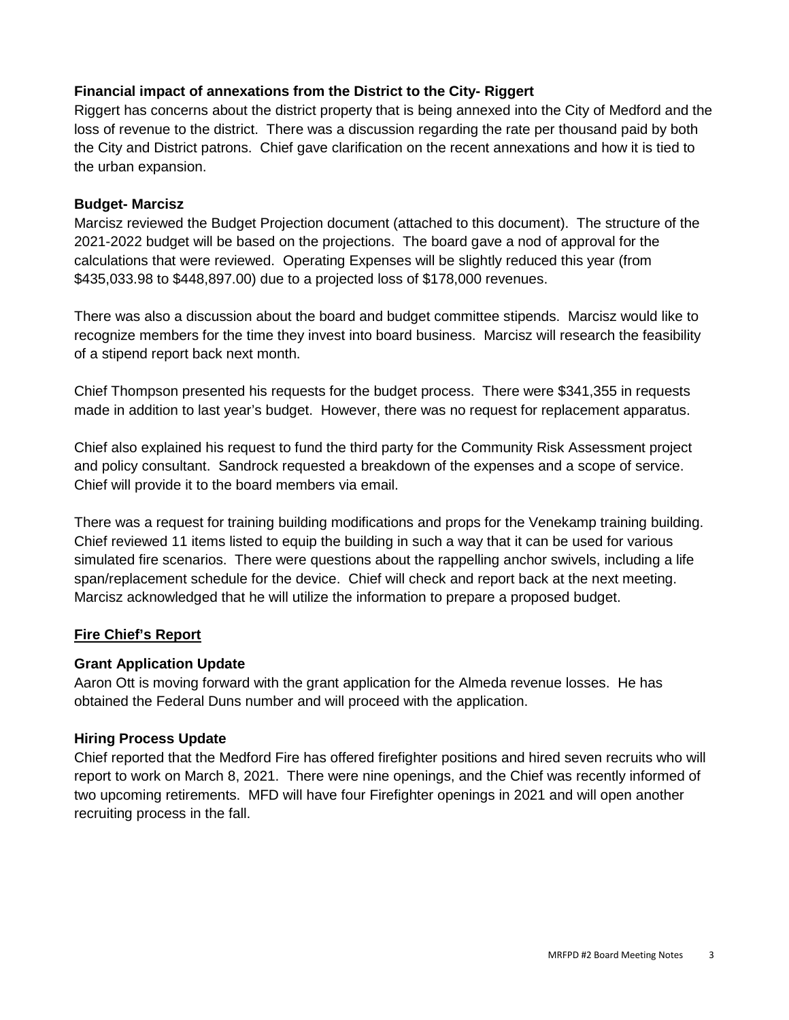## **Financial impact of annexations from the District to the City- Riggert**

Riggert has concerns about the district property that is being annexed into the City of Medford and the loss of revenue to the district. There was a discussion regarding the rate per thousand paid by both the City and District patrons. Chief gave clarification on the recent annexations and how it is tied to the urban expansion.

### **Budget- Marcisz**

Marcisz reviewed the Budget Projection document (attached to this document). The structure of the 2021-2022 budget will be based on the projections. The board gave a nod of approval for the calculations that were reviewed. Operating Expenses will be slightly reduced this year (from \$435,033.98 to \$448,897.00) due to a projected loss of \$178,000 revenues.

There was also a discussion about the board and budget committee stipends. Marcisz would like to recognize members for the time they invest into board business. Marcisz will research the feasibility of a stipend report back next month.

Chief Thompson presented his requests for the budget process. There were \$341,355 in requests made in addition to last year's budget. However, there was no request for replacement apparatus.

Chief also explained his request to fund the third party for the Community Risk Assessment project and policy consultant. Sandrock requested a breakdown of the expenses and a scope of service. Chief will provide it to the board members via email.

There was a request for training building modifications and props for the Venekamp training building. Chief reviewed 11 items listed to equip the building in such a way that it can be used for various simulated fire scenarios. There were questions about the rappelling anchor swivels, including a life span/replacement schedule for the device. Chief will check and report back at the next meeting. Marcisz acknowledged that he will utilize the information to prepare a proposed budget.

### **Fire Chief's Report**

## **Grant Application Update**

Aaron Ott is moving forward with the grant application for the Almeda revenue losses. He has obtained the Federal Duns number and will proceed with the application.

### **Hiring Process Update**

Chief reported that the Medford Fire has offered firefighter positions and hired seven recruits who will report to work on March 8, 2021. There were nine openings, and the Chief was recently informed of two upcoming retirements. MFD will have four Firefighter openings in 2021 and will open another recruiting process in the fall.